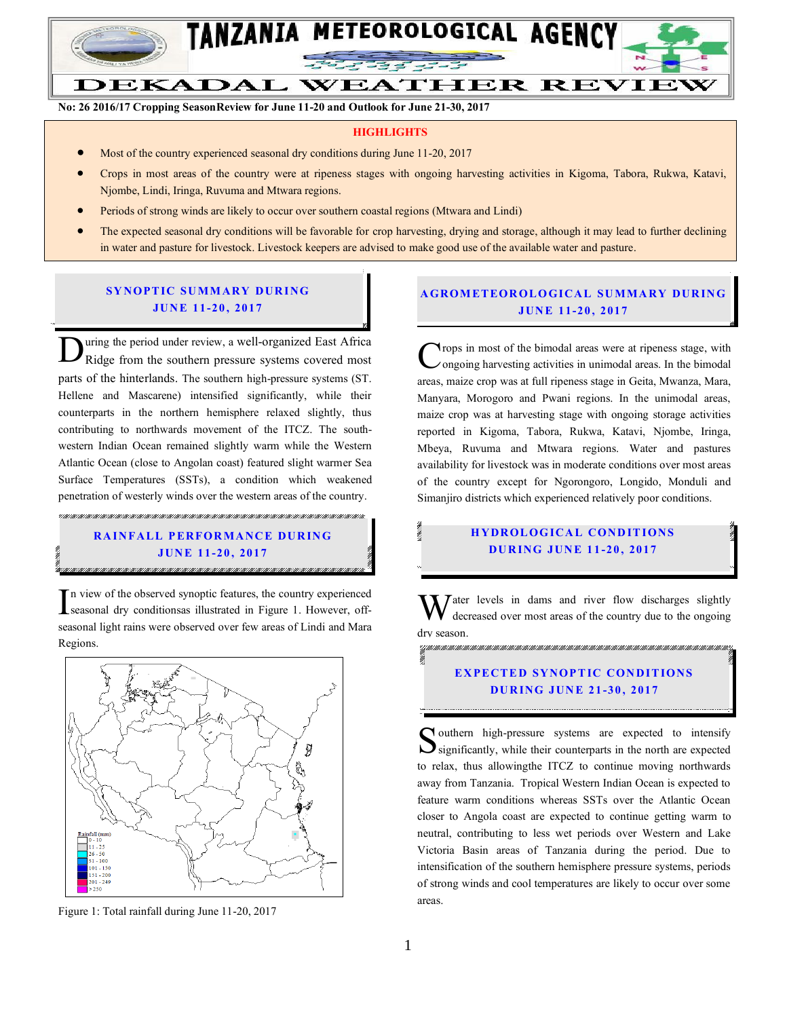

**No: 26 2016/17 Cropping SeasonReview for June 11-20 and Outlook for June 21-30, 2017**

#### **HIGHLIGHTS**

- Most of the country experienced seasonal dry conditions during June 11-20, 2017
- Crops in most areas of the country were at ripeness stages with ongoing harvesting activities in Kigoma, Tabora, Rukwa, Katavi, Njombe, Lindi, Iringa, Ruvuma and Mtwara regions.
- Periods of strong winds are likely to occur over southern coastal regions (Mtwara and Lindi)
- The expected seasonal dry conditions will be favorable for crop harvesting, drying and storage, although it may lead to further declining in water and pasture for livestock. Livestock keepers are advised to make good use of the available water and pasture.

#### **SYNOPTIC SUMMARY DURING JUN E 11-20 , 2017**

uring the period under review, a well-organized East Africa Ridge from the southern pressure systems covered most parts of the hinterlands. The southern high-pressure systems (ST. Hellene and Mascarene) intensified significantly, while their counterparts in the northern hemisphere relaxed slightly, thus contributing to northwards movement of the ITCZ. The southwestern Indian Ocean remained slightly warm while the Western Atlantic Ocean (close to Angolan coast) featured slight warmer Sea Surface Temperatures (SSTs), a condition which weakened penetration of westerly winds over the western areas of the country. D

# **RAINFALL PERFORMANCE DURING JUN E 11-20 , 2017**

" I METARTARTAK I METARTAK I METARTAK I METARTAK I METARTAK I METARTAK I METARTAK I METARTAK I METARTAK I METARTAK I METARTAK I METARTAK I

In view of the observed synoptic features, the country experienced<br>seasonal dry conditions a illustrated in Figure 1. However, offseasonal dry conditionsas illustrated in Figure 1. However, offseasonal light rains were observed over few areas of Lindi and Mara Regions.



Figure 1: Total rainfall during June 11-20, 2017

#### **A GROM ETEOR OLO GICAL SU MMA RY DUR IN G JUN E 11-20 , 2017**

**Trops** in most of the bimodal areas were at ripeness stage, with ongoing harvesting activities in unimodal areas. In the bimodal Crops in most of the bimodal areas were at ripeness stage, with ongoing harvesting activities in unimodal areas. In the bimodal areas, maize crop was at full ripeness stage in Geita, Mwanza, Mara, Manyara, Morogoro and Pwani regions. In the unimodal areas, maize crop was at harvesting stage with ongoing storage activities reported in Kigoma, Tabora, Rukwa, Katavi, Njombe, Iringa, Mbeya, Ruvuma and Mtwara regions. Water and pastures availability for livestock was in moderate conditions over most areas of the country except for Ngorongoro, Longido, Monduli and Simanjiro districts which experienced relatively poor conditions.

### **HYDROLOGICAL CONDITIONS DU R ING JUN E 1 1 -20 , 2017**

ater levels in dams and river flow discharges slightly decreased over most areas of the country due to the ongoing dry season.<br>Walchen de la de la de la de la de la de la de la de la de la de la de la de la de la de la de la de la de la W

#### **EXPECTED SYNOPTIC CONDITIONS DU R ING JUN E 21 -30 , 2017**

**N** outhern high-pressure systems are expected to intensify Southern high-pressure systems are expected to intensify significantly, while their counterparts in the north are expected to relax, thus allowingthe ITCZ to continue moving northwards away from Tanzania. Tropical Western Indian Ocean is expected to feature warm conditions whereas SSTs over the Atlantic Ocean closer to Angola coast are expected to continue getting warm to neutral, contributing to less wet periods over Western and Lake Victoria Basin areas of Tanzania during the period. Due to intensification of the southern hemisphere pressure systems, periods of strong winds and cool temperatures are likely to occur over some areas.